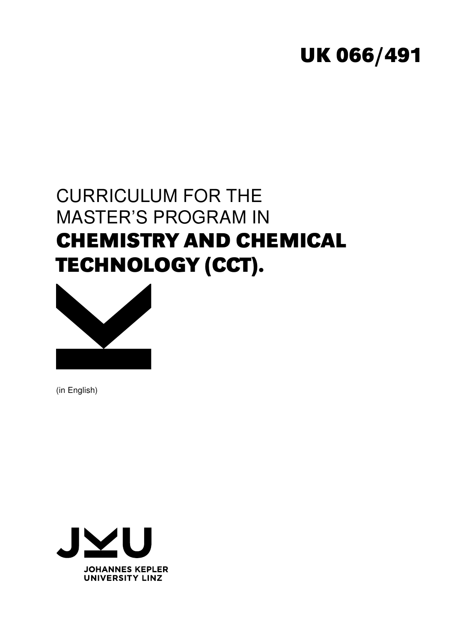# **UK 066/491**

# CURRICULUM FOR THE MASTER'S PROGRAM IN **CHEMISTRY AND CHEMICAL TECHNOLOGY (CCT).**



(in English)

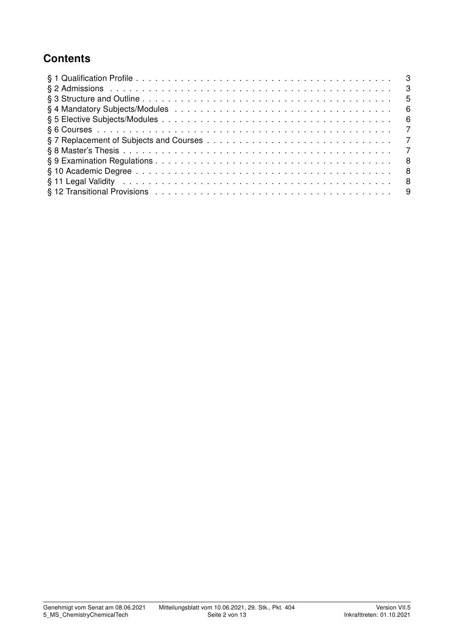## **Contents**

| - 3            |  |
|----------------|--|
| - 5            |  |
| - 6            |  |
| - 6            |  |
| $\overline{7}$ |  |
|                |  |
| $\overline{7}$ |  |
| - 8            |  |
| - 8            |  |
| - 8            |  |
|                |  |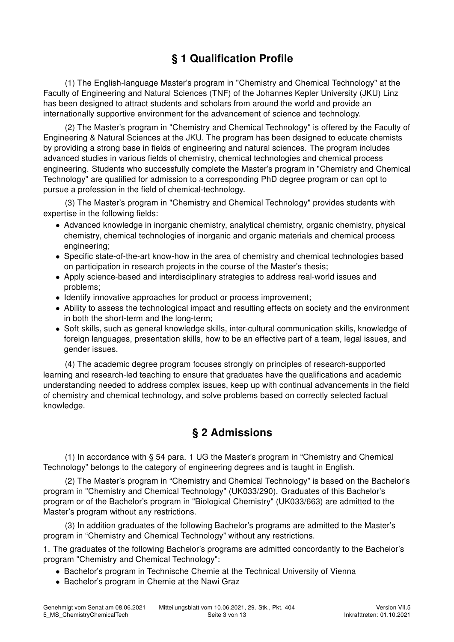# § 1 Qualification Profile

(1) The English-language Master's program in "Chemistry and Chemical Technology" at the Faculty of Engineering and Natural Sciences (TNF) of the Johannes Kepler University (JKU) Linz has been designed to attract students and scholars from around the world and provide an internationally supportive environment for the advancement of science and technology.

(2) The Master's program in "Chemistry and Chemical Technology" is offered by the Faculty of Engineering & Natural Sciences at the JKU. The program has been designed to educate chemists by providing a strong base in fields of engineering and natural sciences. The program includes advanced studies in various fields of chemistry, chemical technologies and chemical process engineering. Students who successfully complete the Master's program in "Chemistry and Chemical Technology" are qualified for admission to a corresponding PhD degree program or can opt to pursue a profession in the field of chemical-technology.

(3) The Master's program in "Chemistry and Chemical Technology" provides students with expertise in the following fields:

- Advanced knowledge in inorganic chemistry, analytical chemistry, organic chemistry, physical chemistry, chemical technologies of inorganic and organic materials and chemical process engineering;
- Specific state-of-the-art know-how in the area of chemistry and chemical technologies based on participation in research projects in the course of the Master's thesis;
- Apply science-based and interdisciplinary strategies to address real-world issues and problems;
- Identify innovative approaches for product or process improvement;
- Ability to assess the technological impact and resulting effects on society and the environment in both the short-term and the long-term;
- Soft skills, such as general knowledge skills, inter-cultural communication skills, knowledge of foreign languages, presentation skills, how to be an effective part of a team, legal issues, and gender issues.

(4) The academic degree program focuses strongly on principles of research-supported learning and research-led teaching to ensure that graduates have the qualifications and academic understanding needed to address complex issues, keep up with continual advancements in the field of chemistry and chemical technology, and solve problems based on correctly selected factual knowledge.

## § 2 Admissions

(1) In accordance with § 54 para. 1 UG the Master's program in "Chemistry and Chemical Technology" belongs to the category of engineering degrees and is taught in English.

(2) The Master's program in "Chemistry and Chemical Technology" is based on the Bachelor's program in "Chemistry and Chemical Technology" (UK033/290). Graduates of this Bachelor's program or of the Bachelor's program in "Biological Chemistry" (UK033/663) are admitted to the Master's program without any restrictions.

(3) In addition graduates of the following Bachelor's programs are admitted to the Master's program in "Chemistry and Chemical Technology" without any restrictions.

1. The graduates of the following Bachelor's programs are admitted concordantly to the Bachelor's program "Chemistry and Chemical Technology":

- Bachelor's program in Technische Chemie at the Technical University of Vienna
- Bachelor's program in Chemie at the Nawi Graz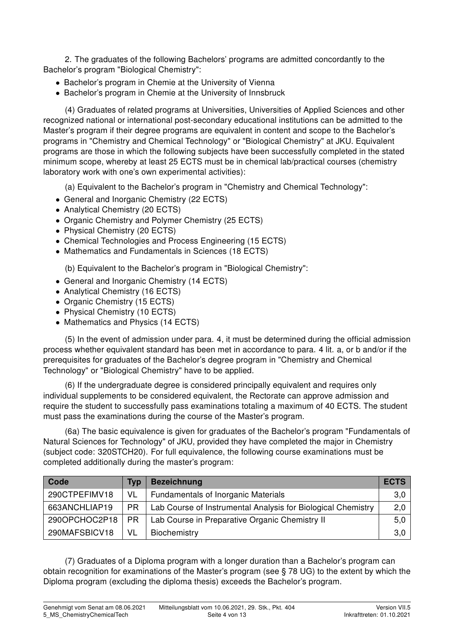2. The graduates of the following Bachelors' programs are admitted concordantly to the Bachelor's program "Biological Chemistry":

- Bachelor's program in Chemie at the University of Vienna
- Bachelor's program in Chemie at the University of Innsbruck

(4) Graduates of related programs at Universities, Universities of Applied Sciences and other recognized national or international post-secondary educational institutions can be admitted to the Master's program if their degree programs are equivalent in content and scope to the Bachelor's programs in "Chemistry and Chemical Technology" or "Biological Chemistry" at JKU. Equivalent programs are those in which the following subjects have been successfully completed in the stated minimum scope, whereby at least 25 ECTS must be in chemical lab/practical courses (chemistry laboratory work with one's own experimental activities):

(a) Equivalent to the Bachelor's program in "Chemistry and Chemical Technology":

- General and Inorganic Chemistry (22 ECTS)
- Analytical Chemistry (20 ECTS)
- Organic Chemistry and Polymer Chemistry (25 ECTS)
- Physical Chemistry (20 ECTS)
- Chemical Technologies and Process Engineering (15 ECTS)
- Mathematics and Fundamentals in Sciences (18 ECTS)

(b) Equivalent to the Bachelor's program in "Biological Chemistry":

- General and Inorganic Chemistry (14 ECTS)
- Analytical Chemistry (16 ECTS)
- Organic Chemistry (15 ECTS)
- Physical Chemistry (10 ECTS)
- Mathematics and Physics (14 ECTS)

(5) In the event of admission under para. 4, it must be determined during the official admission process whether equivalent standard has been met in accordance to para. 4 lit. a, or b and/or if the prerequisites for graduates of the Bachelor's degree program in "Chemistry and Chemical Technology" or "Biological Chemistry" have to be applied.

(6) If the undergraduate degree is considered principally equivalent and requires only individual supplements to be considered equivalent, the Rectorate can approve admission and require the student to successfully pass examinations totaling a maximum of 40 ECTS. The student must pass the examinations during the course of the Master's program.

(6a) The basic equivalence is given for graduates of the Bachelor's program "Fundamentals of Natural Sciences for Technology" of JKU, provided they have completed the major in Chemistry (subject code: 320STCH20). For full equivalence, the following course examinations must be completed additionally during the master's program:

| Code          | Tvp | <b>Bezeichnung</b>                                           | <b>ECTS</b> |
|---------------|-----|--------------------------------------------------------------|-------------|
| 290CTPEFIMV18 | VL. | <b>Fundamentals of Inorganic Materials</b>                   | 3,0         |
| 663ANCHLIAP19 | PR. | Lab Course of Instrumental Analysis for Biological Chemistry | 2,0         |
| 290OPCHOC2P18 | PR. | Lab Course in Preparative Organic Chemistry II               | 5,0         |
| 290MAFSBICV18 | VL  | Biochemistry                                                 | 3,0         |

(7) Graduates of a Diploma program with a longer duration than a Bachelor's program can obtain recognition for examinations of the Master's program (see § 78 UG) to the extent by which the Diploma program (excluding the diploma thesis) exceeds the Bachelor's program.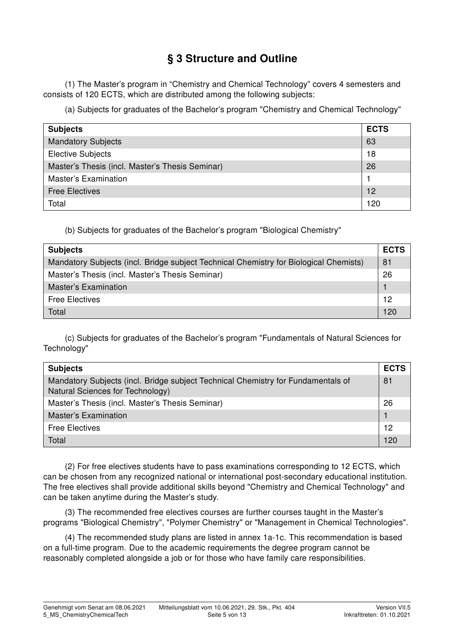## § 3 Structure and Outline

(1) The Master's program in "Chemistry and Chemical Technology" covers 4 semesters and consists of 120 ECTS, which are distributed among the following subjects:

(a) Subjects for graduates of the Bachelor's program "Chemistry and Chemical Technology"

| <b>Subjects</b>                                 | <b>ECTS</b> |
|-------------------------------------------------|-------------|
| <b>Mandatory Subjects</b>                       | 63          |
| <b>Elective Subjects</b>                        | 18          |
| Master's Thesis (incl. Master's Thesis Seminar) | 26          |
| <b>Master's Examination</b>                     |             |
| <b>Free Electives</b>                           | 12          |
| Total                                           | 120         |

(b) Subjects for graduates of the Bachelor's program "Biological Chemistry"

| <b>Subjects</b>                                                                       | <b>ECTS</b> |  |  |  |
|---------------------------------------------------------------------------------------|-------------|--|--|--|
| Mandatory Subjects (incl. Bridge subject Technical Chemistry for Biological Chemists) | 81          |  |  |  |
| Master's Thesis (incl. Master's Thesis Seminar)                                       |             |  |  |  |
| <b>Master's Examination</b>                                                           |             |  |  |  |
| <b>Free Electives</b>                                                                 | 12          |  |  |  |
| Total                                                                                 | 120         |  |  |  |

(c) Subjects for graduates of the Bachelor's program "Fundamentals of Natural Sciences for Technology"

| <b>Subjects</b>                                                                                                      | <b>ECTS</b> |
|----------------------------------------------------------------------------------------------------------------------|-------------|
| Mandatory Subjects (incl. Bridge subject Technical Chemistry for Fundamentals of<br>Natural Sciences for Technology) | 81          |
| Master's Thesis (incl. Master's Thesis Seminar)                                                                      | 26          |
| Master's Examination                                                                                                 |             |
| <b>Free Electives</b>                                                                                                | 12          |
| Total                                                                                                                | 120         |

(2) For free electives students have to pass examinations corresponding to 12 ECTS, which can be chosen from any recognized national or international post-secondary educational institution. The free electives shall provide additional skills beyond "Chemistry and Chemical Technology" and can be taken anytime during the Master's study.

(3) The recommended free electives courses are further courses taught in the Master's programs "Biological Chemistry", "Polymer Chemistry" or "Management in Chemical Technologies".

(4) The recommended study plans are listed in annex 1a-1c. This recommendation is based on a full-time program. Due to the academic requirements the degree program cannot be reasonably completed alongside a job or for those who have family care responsibilities.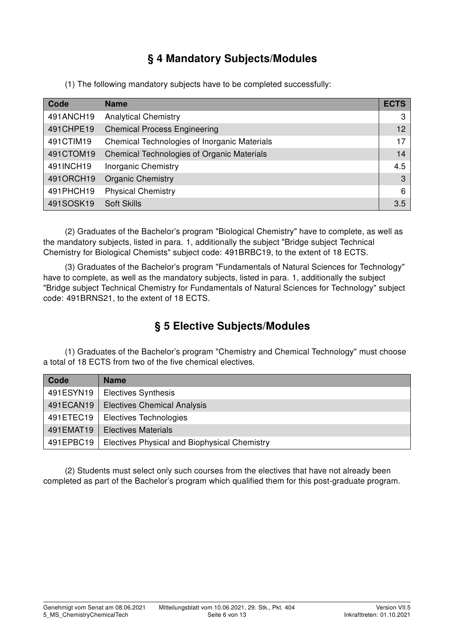# § 4 Mandatory Subjects/Modules

(1) The following mandatory subjects have to be completed successfully:

| Code      | <b>Name</b>                                  | <b>ECTS</b> |
|-----------|----------------------------------------------|-------------|
| 491ANCH19 | <b>Analytical Chemistry</b>                  | 3           |
| 491CHPE19 | <b>Chemical Process Engineering</b>          | 12          |
| 491CTIM19 | Chemical Technologies of Inorganic Materials | 17          |
| 491CTOM19 | Chemical Technologies of Organic Materials   | 14          |
| 491INCH19 | <b>Inorganic Chemistry</b>                   | 4.5         |
| 4910RCH19 | <b>Organic Chemistry</b>                     | 3           |
| 491PHCH19 | <b>Physical Chemistry</b>                    | 6           |
| 491SOSK19 | <b>Soft Skills</b>                           | 3.5         |

(2) Graduates of the Bachelor's program "Biological Chemistry" have to complete, as well as the mandatory subjects, listed in para. 1, additionally the subject "Bridge subject Technical Chemistry for Biological Chemists" subject code: 491BRBC19, to the extent of 18 ECTS.

(3) Graduates of the Bachelor's program "Fundamentals of Natural Sciences for Technology" have to complete, as well as the mandatory subjects, listed in para. 1, additionally the subject "Bridge subject Technical Chemistry for Fundamentals of Natural Sciences for Technology" subject code: 491BRNS21, to the extent of 18 ECTS.

# § 5 Elective Subjects/Modules

(1) Graduates of the Bachelor's program "Chemistry and Chemical Technology" must choose a total of 18 ECTS from two of the five chemical electives.

| Code      | <b>Name</b>                                  |
|-----------|----------------------------------------------|
| 491ESYN19 | <b>Electives Synthesis</b>                   |
| 491ECAN19 | <b>Electives Chemical Analysis</b>           |
| 491ETEC19 | <b>Electives Technologies</b>                |
| 491EMAT19 | <b>Electives Materials</b>                   |
| 491EPBC19 | Electives Physical and Biophysical Chemistry |

(2) Students must select only such courses from the electives that have not already been completed as part of the Bachelor's program which qualified them for this post-graduate program.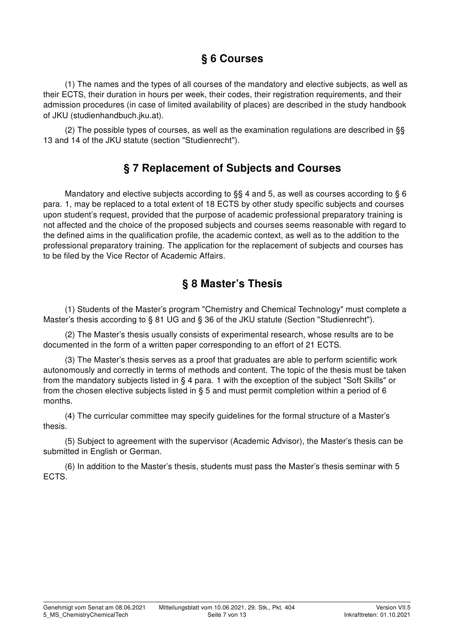## § 6 Courses

(1) The names and the types of all courses of the mandatory and elective subjects, as well as their ECTS, their duration in hours per week, their codes, their registration requirements, and their admission procedures (in case of limited availability of places) are described in the study handbook of JKU (studienhandbuch.jku.at).

(2) The possible types of courses, as well as the examination regulations are described in §§ 13 and 14 of the JKU statute (section "Studienrecht").

#### § 7 Replacement of Subjects and Courses

Mandatory and elective subjects according to §§ 4 and 5, as well as courses according to § 6 para. 1, may be replaced to a total extent of 18 ECTS by other study specific subjects and courses upon student's request, provided that the purpose of academic professional preparatory training is not affected and the choice of the proposed subjects and courses seems reasonable with regard to the defined aims in the qualification profile, the academic context, as well as to the addition to the professional preparatory training. The application for the replacement of subjects and courses has to be filed by the Vice Rector of Academic Affairs.

### § 8 Master's Thesis

(1) Students of the Master's program "Chemistry and Chemical Technology" must complete a Master's thesis according to § 81 UG and § 36 of the JKU statute (Section "Studienrecht").

(2) The Master's thesis usually consists of experimental research, whose results are to be documented in the form of a written paper corresponding to an effort of 21 ECTS.

(3) The Master's thesis serves as a proof that graduates are able to perform scientific work autonomously and correctly in terms of methods and content. The topic of the thesis must be taken from the mandatory subjects listed in § 4 para. 1 with the exception of the subject "Soft Skills" or from the chosen elective subjects listed in § 5 and must permit completion within a period of 6 months.

(4) The curricular committee may specify guidelines for the formal structure of a Master's thesis.

(5) Subject to agreement with the supervisor (Academic Advisor), the Master's thesis can be submitted in English or German.

(6) In addition to the Master's thesis, students must pass the Master's thesis seminar with 5 ECTS.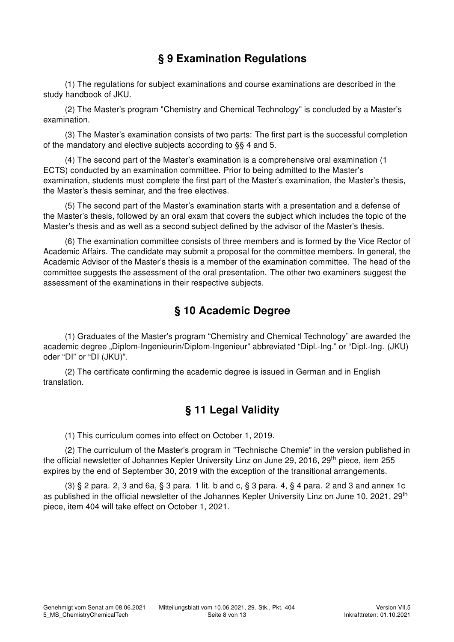## § 9 Examination Regulations

(1) The regulations for subject examinations and course examinations are described in the study handbook of JKU.

(2) The Master's program "Chemistry and Chemical Technology" is concluded by a Master's examination.

(3) The Master's examination consists of two parts: The first part is the successful completion of the mandatory and elective subjects according to §§ 4 and 5.

(4) The second part of the Master's examination is a comprehensive oral examination (1 ECTS) conducted by an examination committee. Prior to being admitted to the Master's examination, students must complete the first part of the Master's examination, the Master's thesis, the Master's thesis seminar, and the free electives.

(5) The second part of the Master's examination starts with a presentation and a defense of the Master's thesis, followed by an oral exam that covers the subject which includes the topic of the Master's thesis and as well as a second subject defined by the advisor of the Master's thesis.

(6) The examination committee consists of three members and is formed by the Vice Rector of Academic Affairs. The candidate may submit a proposal for the committee members. In general, the Academic Advisor of the Master's thesis is a member of the examination committee. The head of the committee suggests the assessment of the oral presentation. The other two examiners suggest the assessment of the examinations in their respective subjects.

#### § 10 Academic Degree

(1) Graduates of the Master's program "Chemistry and Chemical Technology" are awarded the academic degree "Diplom-Ingenieurin/Diplom-Ingenieur" abbreviated "Dipl.-Ing." or "Dipl.-Ing. (JKU) oder "DI" or "DI (JKU)".

(2) The certificate confirming the academic degree is issued in German and in English translation.

## § 11 Legal Validity

(1) This curriculum comes into effect on October 1, 2019.

(2) The curriculum of the Master's program in "Technische Chemie" in the version published in the official newsletter of Johannes Kepler University Linz on June 29, 2016, 29<sup>th</sup> piece, item 255 expires by the end of September 30, 2019 with the exception of the transitional arrangements.

(3) § 2 para. 2, 3 and 6a, § 3 para. 1 lit. b and c, § 3 para. 4, § 4 para. 2 and 3 and annex 1c as published in the official newsletter of the Johannes Kepler University Linz on June 10, 2021, 29<sup>th</sup> piece, item 404 will take effect on October 1, 2021.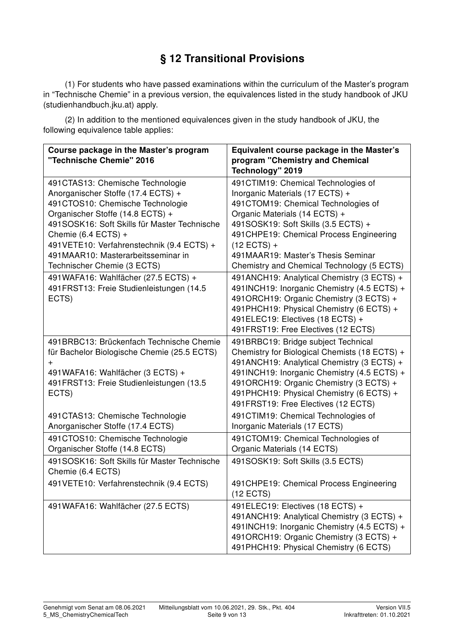# § 12 Transitional Provisions

(1) For students who have passed examinations within the curriculum of the Master's program in "Technische Chemie" in a previous version, the equivalences listed in the study handbook of JKU (studienhandbuch.jku.at) apply.

(2) In addition to the mentioned equivalences given in the study handbook of JKU, the following equivalence table applies:

| Course package in the Master's program<br>"Technische Chemie" 2016                                                                                                                                                                                                                                                                      | Equivalent course package in the Master's<br>program "Chemistry and Chemical<br>Technology" 2019                                                                                                                                                                                                                                       |
|-----------------------------------------------------------------------------------------------------------------------------------------------------------------------------------------------------------------------------------------------------------------------------------------------------------------------------------------|----------------------------------------------------------------------------------------------------------------------------------------------------------------------------------------------------------------------------------------------------------------------------------------------------------------------------------------|
| 491CTAS13: Chemische Technologie<br>Anorganischer Stoffe (17.4 ECTS) +<br>491CTOS10: Chemische Technologie<br>Organischer Stoffe (14.8 ECTS) +<br>491SOSK16: Soft Skills für Master Technische<br>Chemie (6.4 ECTS) +<br>491VETE10: Verfahrenstechnik (9.4 ECTS) +<br>491MAAR10: Masterarbeitsseminar in<br>Technischer Chemie (3 ECTS) | 491CTIM19: Chemical Technologies of<br>Inorganic Materials (17 ECTS) +<br>491CTOM19: Chemical Technologies of<br>Organic Materials (14 ECTS) +<br>491SOSK19: Soft Skills (3.5 ECTS) +<br>491 CHPE19: Chemical Process Engineering<br>$(12$ ECTS) +<br>491MAAR19: Master's Thesis Seminar<br>Chemistry and Chemical Technology (5 ECTS) |
| 491WAFA16: Wahlfächer (27.5 ECTS) +<br>491FRST13: Freie Studienleistungen (14.5<br>ECTS)                                                                                                                                                                                                                                                | 491ANCH19: Analytical Chemistry (3 ECTS) +<br>491INCH19: Inorganic Chemistry (4.5 ECTS) +<br>491ORCH19: Organic Chemistry (3 ECTS) +<br>491PHCH19: Physical Chemistry (6 ECTS) +<br>491ELEC19: Electives (18 ECTS) +<br>491FRST19: Free Electives (12 ECTS)                                                                            |
| 491BRBC13: Brückenfach Technische Chemie<br>für Bachelor Biologische Chemie (25.5 ECTS)<br>+<br>491WAFA16: Wahlfächer (3 ECTS) +<br>491FRST13: Freie Studienleistungen (13.5<br>ECTS)                                                                                                                                                   | 491BRBC19: Bridge subject Technical<br>Chemistry for Biological Chemists (18 ECTS) +<br>491ANCH19: Analytical Chemistry (3 ECTS) +<br>491INCH19: Inorganic Chemistry (4.5 ECTS) +<br>491ORCH19: Organic Chemistry (3 ECTS) +<br>491PHCH19: Physical Chemistry (6 ECTS) +<br>491FRST19: Free Electives (12 ECTS)                        |
| 491CTAS13: Chemische Technologie<br>Anorganischer Stoffe (17.4 ECTS)                                                                                                                                                                                                                                                                    | 491CTIM19: Chemical Technologies of<br>Inorganic Materials (17 ECTS)                                                                                                                                                                                                                                                                   |
| 491CTOS10: Chemische Technologie<br>Organischer Stoffe (14.8 ECTS)                                                                                                                                                                                                                                                                      | 491CTOM19: Chemical Technologies of<br>Organic Materials (14 ECTS)                                                                                                                                                                                                                                                                     |
| 491SOSK16: Soft Skills für Master Technische<br>Chemie (6.4 ECTS)                                                                                                                                                                                                                                                                       | 491SOSK19: Soft Skills (3.5 ECTS)                                                                                                                                                                                                                                                                                                      |
| 491VETE10: Verfahrenstechnik (9.4 ECTS)                                                                                                                                                                                                                                                                                                 | 491CHPE19: Chemical Process Engineering<br>$(12$ ECTS)                                                                                                                                                                                                                                                                                 |
| 491WAFA16: Wahlfächer (27.5 ECTS)                                                                                                                                                                                                                                                                                                       | 491ELEC19: Electives (18 ECTS) +<br>491ANCH19: Analytical Chemistry (3 ECTS) +<br>491INCH19: Inorganic Chemistry (4.5 ECTS) +<br>491ORCH19: Organic Chemistry (3 ECTS) +<br>491 PHCH19: Physical Chemistry (6 ECTS)                                                                                                                    |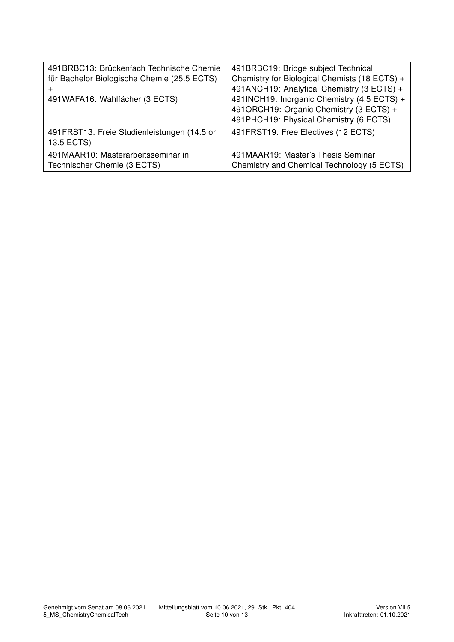| 491BRBC13: Brückenfach Technische Chemie<br>für Bachelor Biologische Chemie (25.5 ECTS)<br>+<br>491WAFA16: Wahlfächer (3 ECTS)<br>491 FRST13: Freie Studienleistungen (14.5 or | 491BRBC19: Bridge subject Technical<br>Chemistry for Biological Chemists (18 ECTS) +<br>491ANCH19: Analytical Chemistry (3 ECTS) +<br>491INCH19: Inorganic Chemistry (4.5 ECTS) +<br>491ORCH19: Organic Chemistry (3 ECTS) +<br>491 PHCH19: Physical Chemistry (6 ECTS)<br>491 FRST19: Free Electives (12 ECTS) |
|--------------------------------------------------------------------------------------------------------------------------------------------------------------------------------|-----------------------------------------------------------------------------------------------------------------------------------------------------------------------------------------------------------------------------------------------------------------------------------------------------------------|
| 13.5 ECTS)                                                                                                                                                                     |                                                                                                                                                                                                                                                                                                                 |
| 491MAAR10: Masterarbeitsseminar in<br>Technischer Chemie (3 ECTS)                                                                                                              | 491MAAR19: Master's Thesis Seminar<br>Chemistry and Chemical Technology (5 ECTS)                                                                                                                                                                                                                                |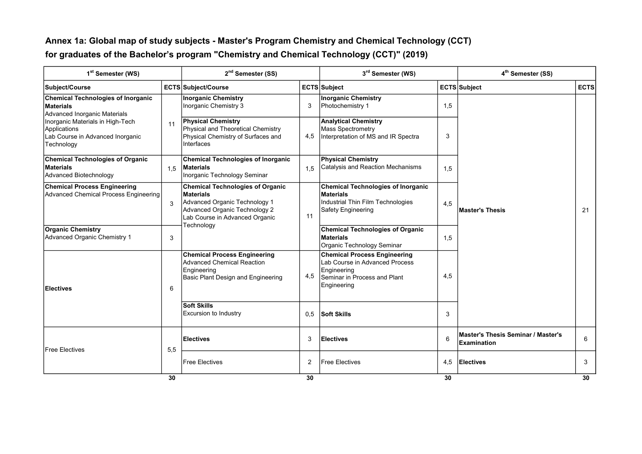#### Annex 1a: Global map of study subjects - Master's Program Chemistry and Chemical Technology (CCT)for graduates of the Bachelor's program "Chemistry and Chemical Technology (CCT)" (2019)

| 1 <sup>st</sup> Semester (WS)                                                                      |               | 2 <sup>nd</sup> Semester (SS)                                                                                                                            |     | 3rd Semester (WS)                                                                                                                   |     | 4 <sup>th</sup> Semester (SS)                     |             |
|----------------------------------------------------------------------------------------------------|---------------|----------------------------------------------------------------------------------------------------------------------------------------------------------|-----|-------------------------------------------------------------------------------------------------------------------------------------|-----|---------------------------------------------------|-------------|
| Subject/Course                                                                                     |               | ECTS Subject/Course                                                                                                                                      |     | ECTS Subject                                                                                                                        |     | ECTS Subject                                      | <b>ECTS</b> |
| <b>Chemical Technologies of Inorganic</b><br><b>Materials</b><br>Advanced Inorganic Materials      |               | <b>Inorganic Chemistry</b><br>Inorganic Chemistry 3                                                                                                      | 3   | <b>Inorganic Chemistry</b><br>Photochemistry 1                                                                                      | 1,5 |                                                   |             |
| Inorganic Materials in High-Tech<br>Applications<br>Lab Course in Advanced Inorganic<br>Technology | 11            | <b>Physical Chemistry</b><br>Physical and Theoretical Chemistry<br>Physical Chemistry of Surfaces and<br>Interfaces                                      | 4,5 | <b>Analytical Chemistry</b><br><b>Mass Spectrometry</b><br>Interpretation of MS and IR Spectra                                      | 3   |                                                   |             |
| <b>Chemical Technologies of Organic</b><br><b>Materials</b><br>Advanced Biotechnology              | 1.5           | <b>Chemical Technologies of Inorganic</b><br>Materials<br>Inorganic Technology Seminar                                                                   | 1,5 | <b>Physical Chemistry</b><br>Catalysis and Reaction Mechanisms                                                                      | 1,5 |                                                   |             |
| <b>Chemical Process Engineering</b><br>Advanced Chemical Process Engineering                       | $\mathcal{R}$ | <b>Chemical Technologies of Organic</b><br>Materials<br>Advanced Organic Technology 1<br>Advanced Organic Technology 2<br>Lab Course in Advanced Organic | 11  | <b>Chemical Technologies of Inorganic</b><br>Materials<br>Industrial Thin Film Technologies<br>Safety Engineering                   | 4,5 | <b>Master's Thesis</b>                            | 21          |
| <b>Organic Chemistry</b><br><b>Advanced Organic Chemistry 1</b>                                    | 3             | Technology                                                                                                                                               |     | <b>Chemical Technologies of Organic</b><br>Materials<br>Organic Technology Seminar                                                  | 1,5 |                                                   |             |
| <b>Electives</b>                                                                                   | 6             | <b>Chemical Process Engineering</b><br><b>Advanced Chemical Reaction</b><br>Engineering<br>Basic Plant Design and Engineering                            | 4,5 | <b>Chemical Process Engineering</b><br>Lab Course in Advanced Process<br>Engineering<br>Seminar in Process and Plant<br>Engineering | 4,5 |                                                   |             |
|                                                                                                    |               | <b>Soft Skills</b><br><b>Excursion to Industry</b>                                                                                                       | 0,5 | Soft Skills                                                                                                                         | 3   |                                                   |             |
| <b>Free Electives</b>                                                                              | 5,5           | Electives                                                                                                                                                | 3   | <b>Electives</b>                                                                                                                    | 6   | Master's Thesis Seminar / Master's<br>Examination | 6           |
|                                                                                                    |               | <b>Free Electives</b>                                                                                                                                    | 2   | <b>Free Electives</b>                                                                                                               | 4,5 | Electives                                         | 3           |
|                                                                                                    | 30            |                                                                                                                                                          | 30  |                                                                                                                                     | 30  |                                                   | 30          |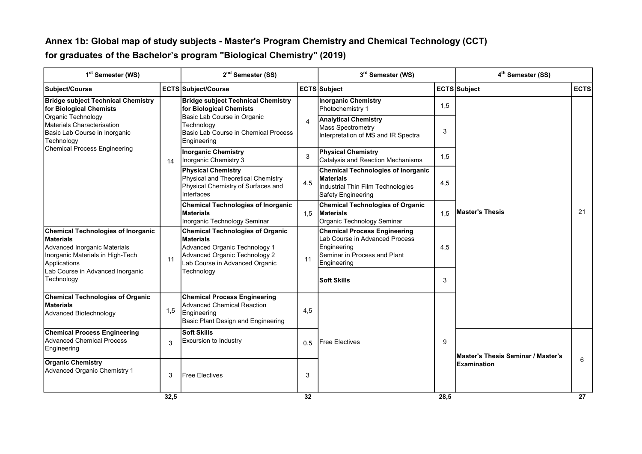#### Annex 1b: Global map of study subjects - Master's Program Chemistry and Chemical Technology (CCT)for graduates of the Bachelor's program "Biological Chemistry" (2019)

| 1 <sup>st</sup> Semester (WS)                                                                                                              |      | 2 <sup>nd</sup> Semester (SS)                                                                                                                                   |                                                                                                  | 3rd Semester (WS)                                                                                                                   |                                                                                                | 4 <sup>th</sup> Semester (SS)      |             |  |
|--------------------------------------------------------------------------------------------------------------------------------------------|------|-----------------------------------------------------------------------------------------------------------------------------------------------------------------|--------------------------------------------------------------------------------------------------|-------------------------------------------------------------------------------------------------------------------------------------|------------------------------------------------------------------------------------------------|------------------------------------|-------------|--|
| Subject/Course                                                                                                                             |      | <b>ECTS Subject/Course</b>                                                                                                                                      |                                                                                                  | <b>ECTS</b> Subject                                                                                                                 |                                                                                                | ECTS Subject                       | <b>ECTS</b> |  |
| <b>Bridge subject Technical Chemistry</b><br>for Biological Chemists                                                                       |      | <b>Bridge subject Technical Chemistry</b><br>for Biological Chemists                                                                                            |                                                                                                  | <b>Inorganic Chemistry</b><br>Photochemistry 1                                                                                      | 1,5                                                                                            |                                    |             |  |
| Organic Technology<br>Materials Characterisation<br>Basic Lab Course in Inorganic<br>Technology                                            |      |                                                                                                                                                                 | Basic Lab Course in Organic<br>Technoloav<br>Basic Lab Course in Chemical Process<br>Engineering | $\overline{4}$                                                                                                                      | <b>Analytical Chemistry</b><br><b>Mass Spectrometry</b><br>Interpretation of MS and IR Spectra | 3                                  |             |  |
| Chemical Process Engineering                                                                                                               | 14   | <b>Inorganic Chemistry</b><br>Inorganic Chemistry 3                                                                                                             | 3                                                                                                | <b>Physical Chemistry</b><br>Catalysis and Reaction Mechanisms                                                                      | 1,5                                                                                            |                                    |             |  |
|                                                                                                                                            |      | <b>Physical Chemistry</b><br>Physical and Theoretical Chemistry<br>Physical Chemistry of Surfaces and<br>Interfaces                                             | 4,5                                                                                              | <b>Chemical Technologies of Inorganic</b><br>Materials<br>Industrial Thin Film Technologies<br>Safety Engineering                   | 4,5                                                                                            |                                    |             |  |
|                                                                                                                                            |      | <b>Chemical Technologies of Inorganic</b><br><b>Materials</b><br>Inorganic Technology Seminar                                                                   | 1,5                                                                                              | <b>Chemical Technologies of Organic</b><br><b>Materials</b><br>Organic Technology Seminar                                           | 1.5                                                                                            | <b>Master's Thesis</b>             | 21          |  |
| <b>Chemical Technologies of Inorganic</b><br>Materials<br>Advanced Inorganic Materials<br>Inorganic Materials in High-Tech<br>Applications | 11   | <b>Chemical Technologies of Organic</b><br><b>Materials</b><br>Advanced Organic Technology 1<br>Advanced Organic Technology 2<br>Lab Course in Advanced Organic | 11                                                                                               | <b>Chemical Process Engineering</b><br>Lab Course in Advanced Process<br>Engineering<br>Seminar in Process and Plant<br>Engineering | 4,5                                                                                            |                                    |             |  |
| Lab Course in Advanced Inorganic<br>Technology                                                                                             |      | Technology                                                                                                                                                      |                                                                                                  | <b>Soft Skills</b>                                                                                                                  | 3                                                                                              |                                    |             |  |
| <b>Chemical Technologies of Organic</b><br><b>Materials</b><br>Advanced Biotechnology                                                      | 1,5  | <b>Chemical Process Engineering</b><br><b>Advanced Chemical Reaction</b><br>Engineering<br>Basic Plant Design and Engineering                                   | 4,5                                                                                              |                                                                                                                                     |                                                                                                |                                    |             |  |
| <b>Chemical Process Engineering</b><br><b>Advanced Chemical Process</b><br>Engineering                                                     | 3    | <b>Soft Skills</b><br>Excursion to Industry                                                                                                                     | 0.5                                                                                              | <b>IFree Electives</b>                                                                                                              | 9                                                                                              | Master's Thesis Seminar / Master's |             |  |
| <b>Organic Chemistry</b><br>Advanced Organic Chemistry 1                                                                                   | 3    | <b>Free Electives</b>                                                                                                                                           | 3                                                                                                |                                                                                                                                     |                                                                                                | <b>Examination</b>                 | 6           |  |
|                                                                                                                                            | 32,5 |                                                                                                                                                                 | 32                                                                                               |                                                                                                                                     | 28,5                                                                                           |                                    | 27          |  |